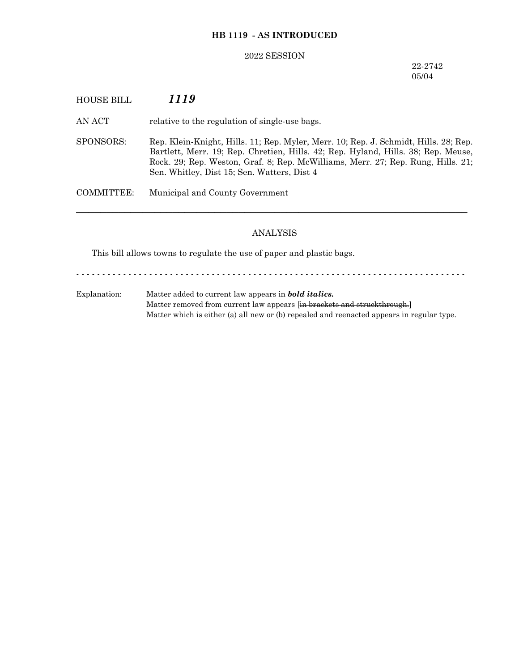## **HB 1119 - AS INTRODUCED**

#### 2022 SESSION

## 22-2742 05/04

HOUSE BILL *1119*

AN ACT relative to the regulation of single-use bags.

SPONSORS: Rep. Klein-Knight, Hills. 11; Rep. Myler, Merr. 10; Rep. J. Schmidt, Hills. 28; Rep. Bartlett, Merr. 19; Rep. Chretien, Hills. 42; Rep. Hyland, Hills. 38; Rep. Meuse, Rock. 29; Rep. Weston, Graf. 8; Rep. McWilliams, Merr. 27; Rep. Rung, Hills. 21; Sen. Whitley, Dist 15; Sen. Watters, Dist 4

COMMITTEE: Municipal and County Government

# ANALYSIS

─────────────────────────────────────────────────────────────────

This bill allows towns to regulate the use of paper and plastic bags.

- - - - - - - - - - - - - - - - - - - - - - - - - - - - - - - - - - - - - - - - - - - - - - - - - - - - - - - - - - - - - - - - - - - - - - - - - - -

Explanation: Matter added to current law appears in *bold italics.* Matter removed from current law appears [in brackets and struckthrough.] Matter which is either (a) all new or (b) repealed and reenacted appears in regular type.